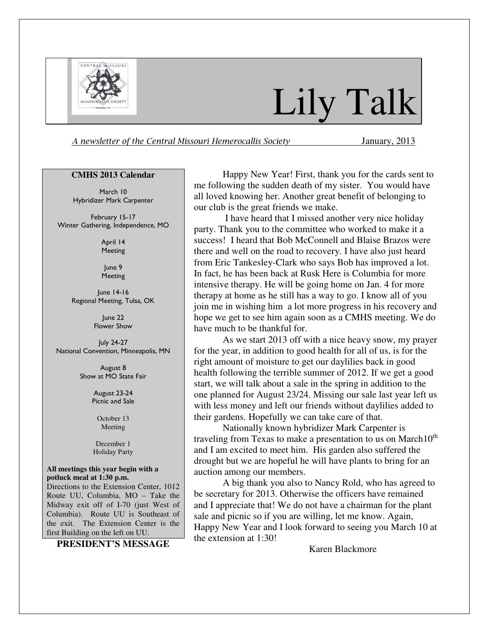

# Lily Talk

A newsletter of the Central Missouri Hemerocallis Society January, 2013

#### **CMHS 2013 Calendar**

March 10 Hybridizer Mark Carpenter

February 15-17 Winter Gathering, Independence, MO

> April 14 Meeting

June 9 **Meeting** 

June 14-16 Regional Meeting, Tulsa, OK

> June 22 Flower Show

July 24-27 National Convention, Minneapolis, MN

> August 8 Show at MO State Fair

> > August 23-24 Picnic and Sale

> > > October 13 Meeting

December 1 Holiday Party

**All meetings this year begin with a potluck meal at 1:30 p.m.**  Directions to the Extension Center, 1012 Route UU, Columbia, MO – Take the Midway exit off of I-70 (just West of Columbia). Route UU is Southeast of the exit. The Extension Center is the

**PRESIDENT'S MESSAGE**

first Building on the left on UU.

Happy New Year! First, thank you for the cards sent to me following the sudden death of my sister. You would have all loved knowing her. Another great benefit of belonging to our club is the great friends we make.

 I have heard that I missed another very nice holiday party. Thank you to the committee who worked to make it a success! I heard that Bob McConnell and Blaise Brazos were there and well on the road to recovery. I have also just heard from Eric Tankesley-Clark who says Bob has improved a lot. In fact, he has been back at Rusk Here is Columbia for more intensive therapy. He will be going home on Jan. 4 for more therapy at home as he still has a way to go. I know all of you join me in wishing him a lot more progress in his recovery and hope we get to see him again soon as a CMHS meeting. We do have much to be thankful for.

As we start 2013 off with a nice heavy snow, my prayer for the year, in addition to good health for all of us, is for the right amount of moisture to get our daylilies back in good health following the terrible summer of 2012. If we get a good start, we will talk about a sale in the spring in addition to the one planned for August 23/24. Missing our sale last year left us with less money and left our friends without daylilies added to their gardens. Hopefully we can take care of that.

Nationally known hybridizer Mark Carpenter is traveling from Texas to make a presentation to us on March $10^{th}$ and I am excited to meet him. His garden also suffered the drought but we are hopeful he will have plants to bring for an auction among our members.

A big thank you also to Nancy Rold, who has agreed to be secretary for 2013. Otherwise the officers have remained and I appreciate that! We do not have a chairman for the plant sale and picnic so if you are willing, let me know. Again, Happy New Year and I look forward to seeing you March 10 at the extension at 1:30!

Karen Blackmore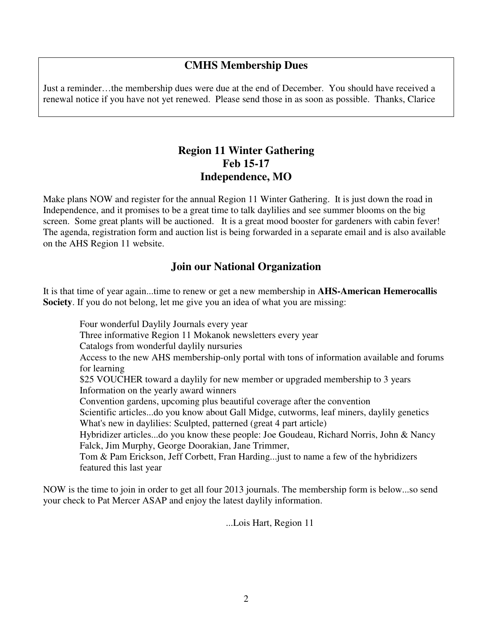## **CMHS Membership Dues**

Just a reminder…the membership dues were due at the end of December. You should have received a renewal notice if you have not yet renewed. Please send those in as soon as possible. Thanks, Clarice

### **Region 11 Winter Gathering Feb 15-17 Independence, MO**

Make plans NOW and register for the annual Region 11 Winter Gathering. It is just down the road in Independence, and it promises to be a great time to talk daylilies and see summer blooms on the big screen. Some great plants will be auctioned. It is a great mood booster for gardeners with cabin fever! The agenda, registration form and auction list is being forwarded in a separate email and is also available on the AHS Region 11 website.

### **Join our National Organization**

It is that time of year again...time to renew or get a new membership in **AHS-American Hemerocallis Society**. If you do not belong, let me give you an idea of what you are missing:

 Four wonderful Daylily Journals every year Three informative Region 11 Mokanok newsletters every year Catalogs from wonderful daylily nursuries Access to the new AHS membership-only portal with tons of information available and forums for learning \$25 VOUCHER toward a daylily for new member or upgraded membership to 3 years Information on the yearly award winners Convention gardens, upcoming plus beautiful coverage after the convention Scientific articles...do you know about Gall Midge, cutworms, leaf miners, daylily genetics What's new in daylilies: Sculpted, patterned (great 4 part article) Hybridizer articles...do you know these people: Joe Goudeau, Richard Norris, John & Nancy Falck, Jim Murphy, George Doorakian, Jane Trimmer, Tom & Pam Erickson, Jeff Corbett, Fran Harding...just to name a few of the hybridizers featured this last year

NOW is the time to join in order to get all four 2013 journals. The membership form is below...so send your check to Pat Mercer ASAP and enjoy the latest daylily information.

...Lois Hart, Region 11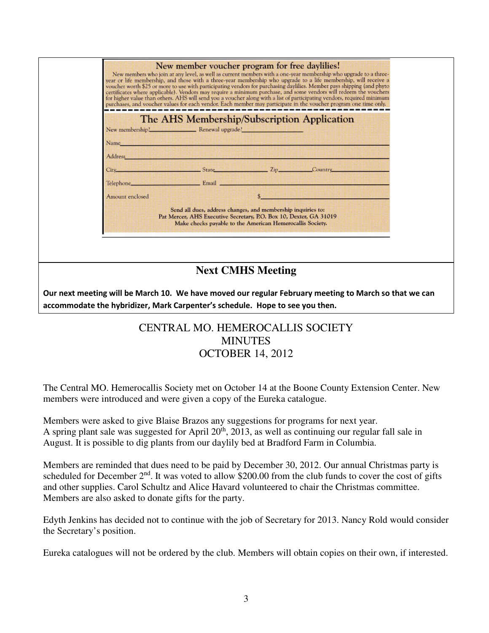|                                                                                                                                                                                       | New member voucher program for free daylilies!<br>New members who join at any level, as well as current members with a one-year membership who upgrade to a three-<br>year or life membership, and those with a three-year membership who upgrade to a life membership, will receive a<br>voucher worth \$25 or more to use with participating vendors for purchasing daylilies. Member pays shipping (and phyto<br>certificates where applicable). Vendors may require a minimum purchase, and some vendors will redeem the vouchers<br>for higher value than others. AHS will send you a voucher along with a list of participating vendors, required minimum<br>purchases, and voucher values for each vendor. Each member may participate in the voucher program one time only. |  |
|---------------------------------------------------------------------------------------------------------------------------------------------------------------------------------------|-------------------------------------------------------------------------------------------------------------------------------------------------------------------------------------------------------------------------------------------------------------------------------------------------------------------------------------------------------------------------------------------------------------------------------------------------------------------------------------------------------------------------------------------------------------------------------------------------------------------------------------------------------------------------------------------------------------------------------------------------------------------------------------|--|
|                                                                                                                                                                                       | The AHS Membership/Subscription Application<br>New membership! Renewal upgrade?<br><u> 1999 - Johann Barn, mars ann an 1998 - Ann an 1998 - Ann an 1998 - Ann an 1998 - Ann an 1998 - Ann an 1998 - </u>                                                                                                                                                                                                                                                                                                                                                                                                                                                                                                                                                                            |  |
|                                                                                                                                                                                       | Name_<br>sive or a complete strike or the complete strike<br>Address<br>State Country Country<br>City.                                                                                                                                                                                                                                                                                                                                                                                                                                                                                                                                                                                                                                                                              |  |
|                                                                                                                                                                                       | <b>Email Email District of the Community of the Community of the Community of the Community of the Community of the Community of the Community of the Community of the Community of the Community of the Community of the Commun</b><br>Telephone____<br>Amount enclosed                                                                                                                                                                                                                                                                                                                                                                                                                                                                                                            |  |
|                                                                                                                                                                                       | Send all dues, address changes, and membership inquiries to:<br>Pat Mercer, AHS Executive Secretary, P.O. Box 10, Dexter, GA 31019<br>Make checks payable to the American Hemerocallis Society.                                                                                                                                                                                                                                                                                                                                                                                                                                                                                                                                                                                     |  |
|                                                                                                                                                                                       |                                                                                                                                                                                                                                                                                                                                                                                                                                                                                                                                                                                                                                                                                                                                                                                     |  |
| <b>Next CMHS Meeting</b>                                                                                                                                                              |                                                                                                                                                                                                                                                                                                                                                                                                                                                                                                                                                                                                                                                                                                                                                                                     |  |
| Our next meeting will be March 10. We have moved our regular February meeting to March so that we can<br>accommodate the hybridizer, Mark Carpenter's schedule. Hope to see you then. |                                                                                                                                                                                                                                                                                                                                                                                                                                                                                                                                                                                                                                                                                                                                                                                     |  |

# CENTRAL MO. HEMEROCALLIS SOCIETY **MINUTES** OCTOBER 14, 2012

The Central MO. Hemerocallis Society met on October 14 at the Boone County Extension Center. New members were introduced and were given a copy of the Eureka catalogue.

Members were asked to give Blaise Brazos any suggestions for programs for next year. A spring plant sale was suggested for April  $20<sup>th</sup>$ ,  $2013$ , as well as continuing our regular fall sale in August. It is possible to dig plants from our daylily bed at Bradford Farm in Columbia.

Members are reminded that dues need to be paid by December 30, 2012. Our annual Christmas party is scheduled for December 2<sup>nd</sup>. It was voted to allow \$200.00 from the club funds to cover the cost of gifts and other supplies. Carol Schultz and Alice Havard volunteered to chair the Christmas committee. Members are also asked to donate gifts for the party.

Edyth Jenkins has decided not to continue with the job of Secretary for 2013. Nancy Rold would consider the Secretary's position.

Eureka catalogues will not be ordered by the club. Members will obtain copies on their own, if interested.